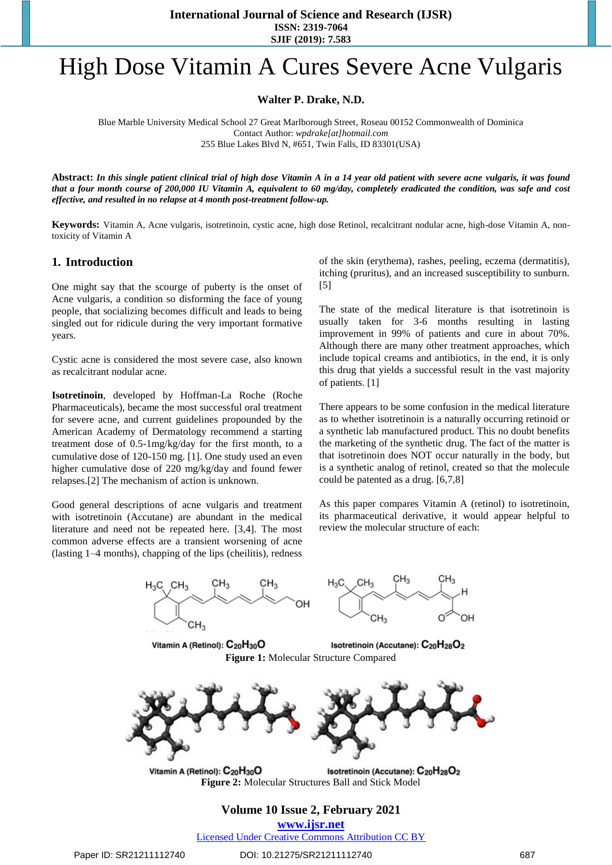**International Journal of Science and Research (IJSR) ISSN: 2319-7064 SJIF (2019): 7.583**

# High Dose Vitamin A Cures Severe Acne Vulgaris

**Walter P. Drake, N.D.**

Blue Marble University Medical School 27 Great Marlborough Street, Roseau 00152 Commonwealth of Dominica Contact Author: *[wpdrake\[at\]hotmail.com](mailto:wpdrake@hotmail.com)* 255 Blue Lakes Blvd N, #651, Twin Falls, ID 83301(USA)

**Abstract:** *In this single patient clinical trial of high dose Vitamin A in a 14 year old patient with severe acne vulgaris, it was found that a four month course of 200,000 IU Vitamin A, equivalent to 60 mg/day, completely eradicated the condition, was safe and cost effective, and resulted in no relapse at 4 month post-treatment follow-up.*

**Keywords:** Vitamin A, Acne vulgaris, isotretinoin, cystic acne, high dose Retinol, recalcitrant nodular acne, high-dose Vitamin A, nontoxicity of Vitamin A

#### **1. Introduction**

One might say that the scourge of puberty is the onset of Acne vulgaris, a condition so disforming the face of young people, that socializing becomes difficult and leads to being singled out for ridicule during the very important formative years.

Cystic acne is considered the most severe case, also known as recalcitrant nodular acne.

**Isotretinoin**, developed by Hoffman-La Roche (Roche Pharmaceuticals), became the most successful oral treatment for severe acne, and current guidelines propounded by the American Academy of Dermatology recommend a starting treatment dose of 0.5-1mg/kg/day for the first month, to a cumulative dose of 120-150 mg. [1]. One study used an even higher cumulative dose of 220 mg/kg/day and found fewer relapses.[2] The mechanism of action is unknown.

Good general descriptions of acne vulgaris and treatment with isotretinoin (Accutane) are abundant in the medical literature and need not be repeated here. [3,4]. The most common adverse effects are a transient worsening of acne (lasting 1–4 months), chapping of the lips (cheilitis), redness

of the skin (erythema), rashes, peeling, eczema (dermatitis), itching (pruritus), and an increased susceptibility to sunburn. [5]

The state of the medical literature is that isotretinoin is usually taken for 3-6 months resulting in lasting improvement in 99% of patients and cure in about 70%. Although there are many other treatment approaches, which include topical creams and antibiotics, in the end, it is only this drug that yields a successful result in the vast majority of patients. [1]

There appears to be some confusion in the medical literature as to whether isotretinoin is a naturally occurring retinoid or a synthetic lab manufactured product. This no doubt benefits the marketing of the synthetic drug. The fact of the matter is that isotretinoin does NOT occur naturally in the body, but is a synthetic analog of retinol, created so that the molecule could be patented as a drug. [6,7,8]

As this paper compares Vitamin A (retinol) to isotretinoin, its pharmaceutical derivative, it would appear helpful to review the molecular structure of each:



**www.ijsr.net**

Licensed Under Creative Commons Attribution CC BY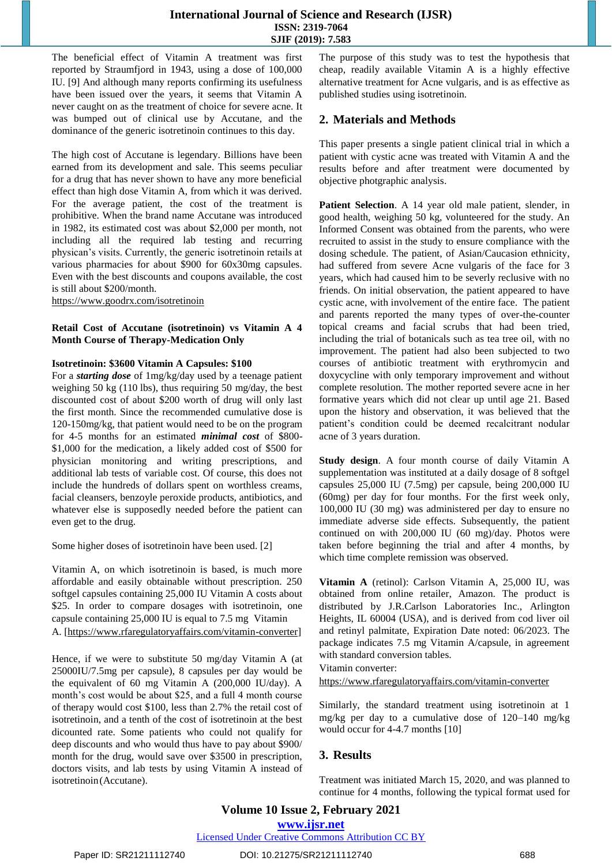## **International Journal of Science and Research (IJSR) ISSN: 2319-7064 SJIF (2019): 7.583**

The beneficial effect of Vitamin A treatment was first reported by Straumfjord in 1943, using a dose of 100,000 IU. [9] And although many reports confirming its usefulness have been issued over the years, it seems that Vitamin A never caught on as the treatment of choice for severe acne. It was bumped out of clinical use by Accutane, and the dominance of the generic isotretinoin continues to this day.

The high cost of Accutane is legendary. Billions have been earned from its development and sale. This seems peculiar for a drug that has never shown to have any more beneficial effect than high dose Vitamin A, from which it was derived. For the average patient, the cost of the treatment is prohibitive. When the brand name Accutane was introduced in 1982, its estimated cost was about \$2,000 per month, not including all the required lab testing and recurring physican's visits. Currently, the generic isotretinoin retails at various pharmacies for about \$900 for 60x30mg capsules. Even with the best discounts and coupons available, the cost is still about \$200/month.

https:/[/www.goodrx.com/isotretinoin](http://www.goodrx.com/isotretinoin)

#### **Retail Cost of Accutane (isotretinoin) vs Vitamin A 4 Month Course of Therapy-Medication Only**

#### **Isotretinoin: \$3600 Vitamin A Capsules: \$100**

For a *starting dose* of 1mg/kg/day used by a teenage patient weighing 50 kg (110 lbs), thus requiring 50 mg/day, the best discounted cost of about \$200 worth of drug will only last the first month. Since the recommended cumulative dose is 120-150mg/kg, that patient would need to be on the program for 4-5 months for an estimated *minimal cost* of \$800- \$1,000 for the medication, a likely added cost of \$500 for physician monitoring and writing prescriptions, and additional lab tests of variable cost. Of course, this does not include the hundreds of dollars spent on worthless creams, facial cleansers, benzoyle peroxide products, antibiotics, and whatever else is supposedly needed before the patient can even get to the drug.

Some higher doses of isotretinoin have been used. [2]

Vitamin A, on which isotretinoin is based, is much more affordable and easily obtainable without prescription. 250 softgel capsules containing 25,000 IU Vitamin A costs about \$25. In order to compare dosages with isotretinoin, one capsule containing 25,000 IU is equal to 7.5 mg Vitamin A. [https:/[/www.rfaregulatoryaffairs.com/vitamin-converter\]](http://www.rfaregulatoryaffairs.com/vitamin-converter)

Hence, if we were to substitute 50 mg/day Vitamin A (at 25000IU/7.5mg per capsule), 8 capsules per day would be the equivalent of 60 mg Vitamin A (200,000 IU/day). A month's cost would be about \$25, and a full 4 month course of therapy would cost \$100, less than 2.7% the retail cost of isotretinoin, and a tenth of the cost of isotretinoin at the best dicounted rate. Some patients who could not qualify for deep discounts and who would thus have to pay about \$900/ month for the drug, would save over \$3500 in prescription, doctors visits, and lab tests by using Vitamin A instead of isotretinoin(Accutane).

The purpose of this study was to test the hypothesis that cheap, readily available Vitamin A is a highly effective alternative treatment for Acne vulgaris, and is as effective as published studies using isotretinoin.

# **2. Materials and Methods**

This paper presents a single patient clinical trial in which a patient with cystic acne was treated with Vitamin A and the results before and after treatment were documented by objective photgraphic analysis.

**Patient Selection**. A 14 year old male patient, slender, in good health, weighing 50 kg, volunteered for the study. An Informed Consent was obtained from the parents, who were recruited to assist in the study to ensure compliance with the dosing schedule. The patient, of Asian/Caucasion ethnicity, had suffered from severe Acne vulgaris of the face for 3 years, which had caused him to be severly reclusive with no friends. On initial observation, the patient appeared to have cystic acne, with involvement of the entire face. The patient and parents reported the many types of over-the-counter topical creams and facial scrubs that had been tried, including the trial of botanicals such as tea tree oil, with no improvement. The patient had also been subjected to two courses of antibiotic treatment with erythromycin and doxycycline with only temporary improvement and without complete resolution. The mother reported severe acne in her formative years which did not clear up until age 21. Based upon the history and observation, it was believed that the patient's condition could be deemed recalcitrant nodular acne of 3 years duration.

**Study design**. A four month course of daily Vitamin A supplementation was instituted at a daily dosage of 8 softgel capsules 25,000 IU (7.5mg) per capsule, being 200,000 IU (60mg) per day for four months. For the first week only, 100,000 IU (30 mg) was administered per day to ensure no immediate adverse side effects. Subsequently, the patient continued on with 200,000 IU (60 mg)/day. Photos were taken before beginning the trial and after 4 months, by which time complete remission was observed.

**Vitamin A** (retinol): Carlson Vitamin A, 25,000 IU, was obtained from online retailer, Amazon. The product is distributed by J.R.Carlson Laboratories Inc., Arlington Heights, IL 60004 (USA), and is derived from cod liver oil and retinyl palmitate, Expiration Date noted: 06/2023. The package indicates 7.5 mg Vitamin A/capsule, in agreement with standard conversion tables.

Vitamin converter:

https:/[/www.rfaregulatoryaffairs.com/vitamin-converter](http://www.rfaregulatoryaffairs.com/vitamin-converter)

Similarly, the standard treatment using isotretinoin at 1 mg/kg per day to a cumulative dose of 120–140 mg/kg would occur for 4-4.7 months [10]

# **3. Results**

Treatment was initiated March 15, 2020, and was planned to continue for 4 months, following the typical format used for

# **Volume 10 Issue 2, February 2021 www.ijsr.net**

Licensed Under Creative Commons Attribution CC BY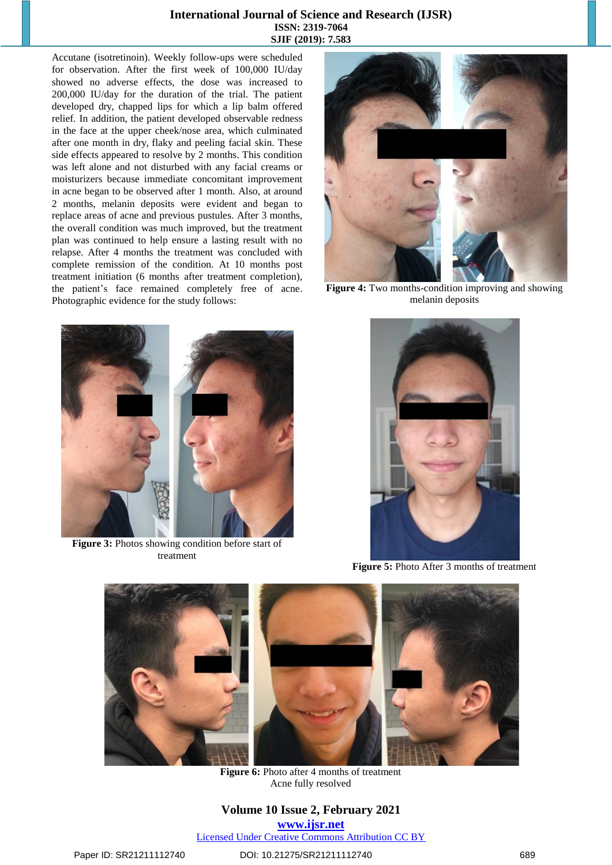#### **International Journal of Science and Research (IJSR) ISSN: 2319-7064 SJIF (2019): 7.583**

Accutane (isotretinoin). Weekly follow-ups were scheduled for observation. After the first week of 100,000 IU/day showed no adverse effects, the dose was increased to 200,000 IU/day for the duration of the trial. The patient developed dry, chapped lips for which a lip balm offered relief. In addition, the patient developed observable redness in the face at the upper cheek/nose area, which culminated after one month in dry, flaky and peeling facial skin. These side effects appeared to resolve by 2 months. This condition was left alone and not disturbed with any facial creams or moisturizers because immediate concomitant improvement in acne began to be observed after 1 month. Also, at around 2 months, melanin deposits were evident and began to replace areas of acne and previous pustules. After 3 months, the overall condition was much improved, but the treatment plan was continued to help ensure a lasting result with no relapse. After 4 months the treatment was concluded with complete remission of the condition. At 10 months post treatment initiation (6 months after treatment completion), the patient's face remained completely free of acne. Photographic evidence for the study follows:



**Figure 4:** Two months-condition improving and showing melanin deposits



**Figure 3:** Photos showing condition before start of treatment



**Figure 5:** Photo After 3 months of treatment



**Figure 6:** Photo after 4 months of treatment Acne fully resolved

**Volume 10 Issue 2, February 2021 www.ijsr.net** Licensed Under Creative Commons Attribution CC BY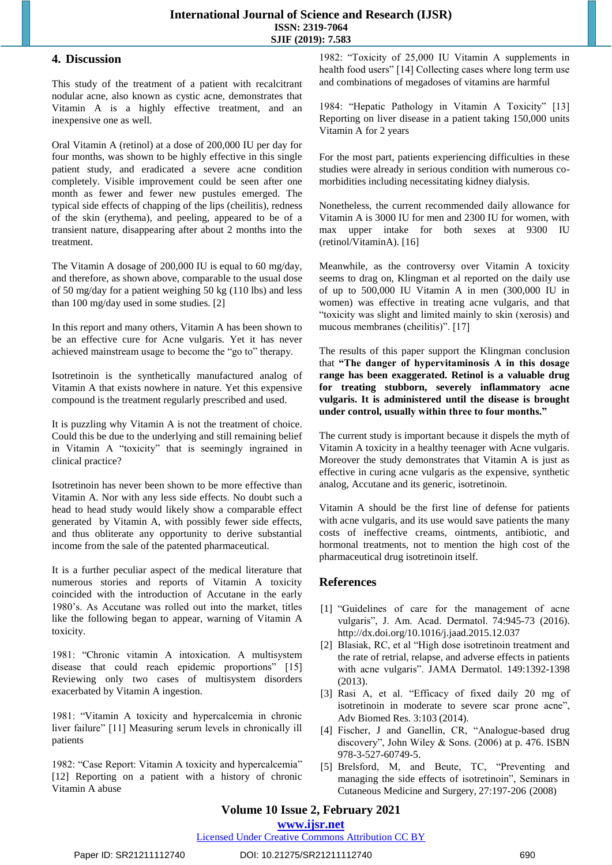## **4. Discussion**

This study of the treatment of a patient with recalcitrant nodular acne, also known as cystic acne, demonstrates that Vitamin A is a highly effective treatment, and an inexpensive one as well.

Oral Vitamin A (retinol) at a dose of 200,000 IU per day for four months, was shown to be highly effective in this single patient study, and eradicated a severe acne condition completely. Visible improvement could be seen after one month as fewer and fewer new pustules emerged. The typical side effects of chapping of the lips (cheilitis), redness of the skin (erythema), and peeling, appeared to be of a transient nature, disappearing after about 2 months into the treatment.

The Vitamin A dosage of 200,000 IU is equal to 60 mg/day, and therefore, as shown above, comparable to the usual dose of 50 mg/day for a patient weighing 50 kg (110 lbs) and less than 100 mg/day used in some studies. [2]

In this report and many others, Vitamin A has been shown to be an effective cure for Acne vulgaris. Yet it has never achieved mainstream usage to become the "go to" therapy.

Isotretinoin is the synthetically manufactured analog of Vitamin A that exists nowhere in nature. Yet this expensive compound is the treatment regularly prescribed and used.

It is puzzling why Vitamin A is not the treatment of choice. Could this be due to the underlying and still remaining belief in Vitamin A "toxicity" that is seemingly ingrained in clinical practice?

Isotretinoin has never been shown to be more effective than Vitamin A. Nor with any less side effects. No doubt such a head to head study would likely show a comparable effect generated by Vitamin A, with possibly fewer side effects, and thus obliterate any opportunity to derive substantial income from the sale of the patented pharmaceutical.

It is a further peculiar aspect of the medical literature that numerous stories and reports of Vitamin A toxicity coincided with the introduction of Accutane in the early 1980's. As Accutane was rolled out into the market, titles like the following began to appear, warning of Vitamin A toxicity.

1981: "Chronic vitamin A intoxication. A multisystem disease that could reach epidemic proportions" [15] Reviewing only two cases of multisystem disorders exacerbated by Vitamin A ingestion.

1981: "Vitamin A toxicity and hypercalcemia in chronic liver failure" [11] Measuring serum levels in chronically ill patients

1982: "Case Report: Vitamin A toxicity and hypercalcemia" [12] Reporting on a patient with a history of chronic Vitamin A abuse

1982: "Toxicity of 25,000 IU Vitamin A supplements in health food users" [14] Collecting cases where long term use and combinations of megadoses of vitamins are harmful

1984: "Hepatic Pathology in Vitamin A Toxicity" [13] Reporting on liver disease in a patient taking 150,000 units Vitamin A for 2 years

For the most part, patients experiencing difficulties in these studies were already in serious condition with numerous comorbidities including necessitating kidney dialysis.

Nonetheless, the current recommended daily allowance for Vitamin A is 3000 IU for men and 2300 IU for women, with max upper intake for both sexes at 9300 IU (retinol/VitaminA). [16]

Meanwhile, as the controversy over Vitamin A toxicity seems to drag on, Klingman et al reported on the daily use of up to 500,000 IU Vitamin A in men (300,000 IU in women) was effective in treating acne vulgaris, and that "toxicity was slight and limited mainly to skin (xerosis) and mucous membranes (cheilitis)". [17]

The results of this paper support the Klingman conclusion that **"The danger of hypervitaminosis A in this dosage range has been exaggerated. Retinol is a valuable drug for treating stubborn, severely inflammatory acne vulgaris. It is administered until the disease is brought under control, usually within three to four months."**

The current study is important because it dispels the myth of Vitamin A toxicity in a healthy teenager with Acne vulgaris. Moreover the study demonstrates that Vitamin A is just as effective in curing acne vulgaris as the expensive, synthetic analog, Accutane and its generic, isotretinoin.

Vitamin A should be the first line of defense for patients with acne vulgaris, and its use would save patients the many costs of ineffective creams, ointments, antibiotic, and hormonal treatments, not to mention the high cost of the pharmaceutical drug isotretinoin itself.

## **References**

- [1] "Guidelines of care for the management of acne vulgaris", J. Am. Acad. Dermatol. 74:945-73 (2016). <http://dx.doi.org/10.1016/j.jaad.2015.12.037>
- [2] Blasiak, RC, et al "High dose isotretinoin treatment and the rate of retrial, relapse, and adverse effects in patients with acne vulgaris". JAMA Dermatol. 149:1392-1398 (2013).
- [3] Rasi A, et al. "Efficacy of fixed daily 20 mg of isotretinoin in moderate to severe scar prone acne", Adv Biomed Res. 3:103 (2014).
- [4] Fischer, J and Ganellin, CR, "Analogue-based drug discovery", John Wiley & Sons. (2006) at p. 476. ISBN 978-3-527-60749-5.
- [5] Brelsford, M, and Beute, TC, "Preventing and managing the side effects of isotretinoin", Seminars in Cutaneous Medicine and Surgery, 27:197-206 (2008)

# **Volume 10 Issue 2, February 2021**

**www.ijsr.net**

Licensed Under Creative Commons Attribution CC BY